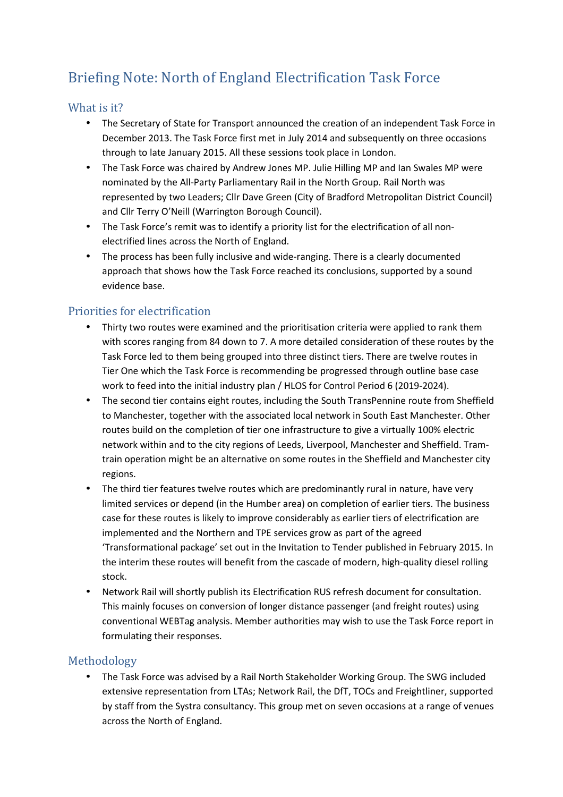# Briefing Note: North of England Electrification Task Force

#### What is it?

- The Secretary of State for Transport announced the creation of an independent Task Force in December 2013. The Task Force first met in July 2014 and subsequently on three occasions through to late January 2015. All these sessions took place in London.
- The Task Force was chaired by Andrew Jones MP. Julie Hilling MP and Ian Swales MP were nominated by the All-Party Parliamentary Rail in the North Group. Rail North was represented by two Leaders; Cllr Dave Green (City of Bradford Metropolitan District Council) and Cllr Terry O'Neill (Warrington Borough Council).
- The Task Force's remit was to identify a priority list for the electrification of all nonelectrified lines across the North of England.
- The process has been fully inclusive and wide-ranging. There is a clearly documented approach that shows how the Task Force reached its conclusions, supported by a sound evidence base.

### Priorities for electrification

- Thirty two routes were examined and the prioritisation criteria were applied to rank them with scores ranging from 84 down to 7. A more detailed consideration of these routes by the Task Force led to them being grouped into three distinct tiers. There are twelve routes in Tier One which the Task Force is recommending be progressed through outline base case work to feed into the initial industry plan / HLOS for Control Period 6 (2019-2024).
- The second tier contains eight routes, including the South TransPennine route from Sheffield to Manchester, together with the associated local network in South East Manchester. Other routes build on the completion of tier one infrastructure to give a virtually 100% electric network within and to the city regions of Leeds, Liverpool, Manchester and Sheffield. Tramtrain operation might be an alternative on some routes in the Sheffield and Manchester city regions.
- The third tier features twelve routes which are predominantly rural in nature, have very limited services or depend (in the Humber area) on completion of earlier tiers. The business case for these routes is likely to improve considerably as earlier tiers of electrification are implemented and the Northern and TPE services grow as part of the agreed 'Transformational package' set out in the Invitation to Tender published in February 2015. In the interim these routes will benefit from the cascade of modern, high-quality diesel rolling stock.
- Network Rail will shortly publish its Electrification RUS refresh document for consultation. This mainly focuses on conversion of longer distance passenger (and freight routes) using conventional WEBTag analysis. Member authorities may wish to use the Task Force report in formulating their responses.

### Methodology

• The Task Force was advised by a Rail North Stakeholder Working Group. The SWG included extensive representation from LTAs; Network Rail, the DfT, TOCs and Freightliner, supported by staff from the Systra consultancy. This group met on seven occasions at a range of venues across the North of England.